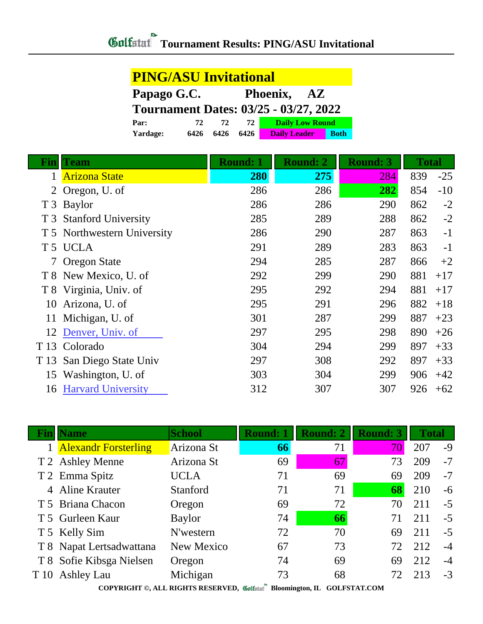| <b>PING/ASU Invitational</b>                 |      |      |      |                        |             |  |
|----------------------------------------------|------|------|------|------------------------|-------------|--|
| Papago G.C.<br>Phoenix, AZ                   |      |      |      |                        |             |  |
| <b>Tournament Dates: 03/25 - 03/27, 2022</b> |      |      |      |                        |             |  |
| Par:                                         | 72   | 72   | 72   | <b>Daily Low Round</b> |             |  |
| Yardage:                                     | 6426 | 6426 | 6426 | <b>Daily Leader</b>    | <b>Both</b> |  |

| Fin | <b>Team</b>                 | <b>Round: 1</b> | <b>Round: 2</b> | <b>Round: 3</b> | <b>Total</b> |       |
|-----|-----------------------------|-----------------|-----------------|-----------------|--------------|-------|
|     | <b>Arizona State</b>        | 280             | 275             | 284             | 839          | $-25$ |
|     | 2 Oregon, U. of             | 286             | 286             | 282             | 854          | $-10$ |
|     | T 3 Baylor                  | 286             | 286             | 290             | 862          | $-2$  |
|     | T 3 Stanford University     | 285             | 289             | 288             | 862          | $-2$  |
|     | T 5 Northwestern University | 286             | 290             | 287             | 863          | $-1$  |
|     | T <sub>5</sub> UCLA         | 291             | 289             | 283             | 863          | $-1$  |
|     | 7 Oregon State              | 294             | 285             | 287             | 866          | $+2$  |
|     | T 8 New Mexico, U. of       | 292             | 299             | 290             | 881          | $+17$ |
|     | T 8 Virginia, Univ. of      | 295             | 292             | 294             | 881          | $+17$ |
| 10  | Arizona, U. of              | 295             | 291             | 296             | 882          | $+18$ |
| 11  | Michigan, U. of             | 301             | 287             | 299             | 887          | $+23$ |
| 12  | Denver, Univ. of            | 297             | 295             | 298             | 890          | $+26$ |
|     | T <sub>13</sub> Colorado    | 304             | 294             | 299             | 897          | $+33$ |
|     | T 13 San Diego State Univ   | 297             | 308             | 292             | 897          | $+33$ |
| 15  | Washington, U. of           | 303             | 304             | 299             | 906          | $+42$ |
| 16  | <b>Harvard University</b>   | 312             | 307             | 307             | 926          | $+62$ |

|                                                                           | <b>Name</b>              | <b>School</b> | <b>Round: 1</b> | <b>Round: 2</b> | <b>Round: 3</b> | <b>Total</b> |      |
|---------------------------------------------------------------------------|--------------------------|---------------|-----------------|-----------------|-----------------|--------------|------|
|                                                                           | 1 Alexandr Forsterling   | Arizona St    | 66              | 71              | 70              | 207          | $-9$ |
|                                                                           | T 2 Ashley Menne         | Arizona St    | 69              | 67              | 73              | 209          | $-7$ |
|                                                                           | T 2 Emma Spitz           | <b>UCLA</b>   | 71              | 69              | 69              | 209          | $-7$ |
|                                                                           | 4 Aline Krauter          | Stanford      | 71              | 71              | 68              | 210          | $-6$ |
|                                                                           | T 5 Briana Chacon        | Oregon        | 69              | 72              | 70              | 211          | $-5$ |
|                                                                           | T 5 Gurleen Kaur         | Baylor        | 74              | 66              | 71              | 211          | $-5$ |
|                                                                           | T 5 Kelly Sim            | N'western     | 72              | 70              | 69              | 211          | $-5$ |
|                                                                           | T 8 Napat Lertsadwattana | New Mexico    | 67              | 73              | 72              | 212          | $-4$ |
|                                                                           | T 8 Sofie Kibsga Nielsen | Oregon        | 74              | 69              | 69              | 212          | $-4$ |
|                                                                           | T 10 Ashley Lau          | Michigan      | 73              | 68              | 72              | 213          | $-3$ |
| COPYRIGHT ©, ALL RIGHTS RESERVED, Collectarl Bloomington, IL GOLFSTAT.COM |                          |               |                 |                 |                 |              |      |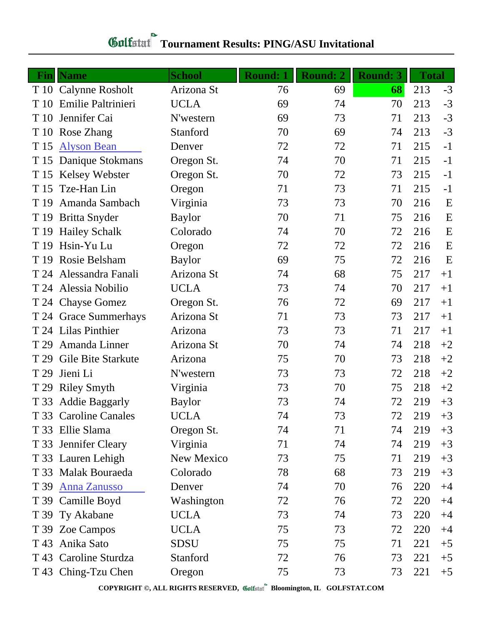| <b>Gulfstat</b> Tournament Results: PING/ASU Invitational |  |
|-----------------------------------------------------------|--|
|                                                           |  |

|      | <b>Fin</b>   Name     | <b>School</b> | <b>Round: 1</b> | <b>Round: 2</b> | <b>Round: 3</b> | <b>Total</b> |      |
|------|-----------------------|---------------|-----------------|-----------------|-----------------|--------------|------|
|      | T 10 Calynne Rosholt  | Arizona St    | 76              | 69              | 68              | 213          | $-3$ |
| T 10 | Emilie Paltrinieri    | <b>UCLA</b>   | 69              | 74              | 70              | 213          | $-3$ |
| T 10 | Jennifer Cai          | N'western     | 69              | 73              | 71              | 213          | $-3$ |
| T 10 | Rose Zhang            | Stanford      | 70              | 69              | 74              | 213          | $-3$ |
| T 15 | <b>Alyson Bean</b>    | Denver        | 72              | 72              | 71              | 215          | $-1$ |
| T 15 | Danique Stokmans      | Oregon St.    | 74              | 70              | 71              | 215          | $-1$ |
| T 15 | <b>Kelsey Webster</b> | Oregon St.    | 70              | 72              | 73              | 215          | $-1$ |
| T 15 | Tze-Han Lin           | Oregon        | 71              | 73              | 71              | 215          | $-1$ |
| T 19 | Amanda Sambach        | Virginia      | 73              | 73              | 70              | 216          | E    |
| T 19 | <b>Britta Snyder</b>  | <b>Baylor</b> | 70              | 71              | 75              | 216          | E    |
|      | T 19 Hailey Schalk    | Colorado      | 74              | 70              | 72              | 216          | E    |
| T 19 | Hsin-Yu Lu            | Oregon        | 72              | 72              | 72              | 216          | E    |
| T 19 | Rosie Belsham         | <b>Baylor</b> | 69              | 75              | 72              | 216          | E    |
| T 24 | Alessandra Fanali     | Arizona St    | 74              | 68              | 75              | 217          | $+1$ |
|      | T 24 Alessia Nobilio  | <b>UCLA</b>   | 73              | 74              | 70              | 217          | $+1$ |
|      | T 24 Chayse Gomez     | Oregon St.    | 76              | 72              | 69              | 217          | $+1$ |
|      | T 24 Grace Summerhays | Arizona St    | 71              | 73              | 73              | 217          | $+1$ |
|      | T 24 Lilas Pinthier   | Arizona       | 73              | 73              | 71              | 217          | $+1$ |
| T 29 | Amanda Linner         | Arizona St    | 70              | 74              | 74              | 218          | $+2$ |
| T 29 | Gile Bite Starkute    | Arizona       | 75              | 70              | 73              | 218          | $+2$ |
| T 29 | Jieni Li              | N'western     | 73              | 73              | 72              | 218          | $+2$ |
| T 29 | <b>Riley Smyth</b>    | Virginia      | 73              | 70              | 75              | 218          | $+2$ |
| T 33 | <b>Addie Baggarly</b> | <b>Baylor</b> | 73              | 74              | 72              | 219          | $+3$ |
|      | T 33 Caroline Canales | <b>UCLA</b>   | 74              | 73              | 72              | 219          | $+3$ |
|      | T 33 Ellie Slama      | Oregon St.    | 74              | 71              | 74              | 219          | $+3$ |
|      | T 33 Jennifer Cleary  | Virginia      | 71              | 74              | 74              | 219          | $+3$ |
|      | T 33 Lauren Lehigh    | New Mexico    | 73              | 75              | 71              | 219          | $+3$ |
|      | T 33 Malak Bouraeda   | Colorado      | 78              | 68              | 73              | 219          | $+3$ |
| T 39 | <b>Anna Zanusso</b>   | Denver        | 74              | 70              | 76              | 220          | $+4$ |
|      | T 39 Camille Boyd     | Washington    | 72              | 76              | 72              | 220          | $+4$ |
|      | T 39 Ty Akabane       | <b>UCLA</b>   | 73              | 74              | 73              | 220          | $+4$ |
|      | T 39 Zoe Campos       | <b>UCLA</b>   | 75              | 73              | 72              | 220          | $+4$ |
| T 43 | Anika Sato            | <b>SDSU</b>   | 75              | 75              | 71              | 221          | $+5$ |
|      | T 43 Caroline Sturdza | Stanford      | 72              | 76              | 73              | 221          | $+5$ |
|      | T 43 Ching-Tzu Chen   | Oregon        | 75              | 73              | 73              | 221          | $+5$ |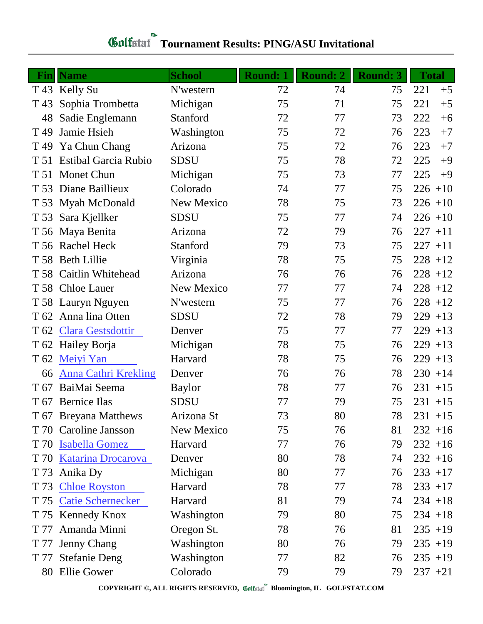## **Tournament Results: PING/ASU Invitational**

| Fin             | <b>Name</b>                 | <b>School</b>     | <b>Round: 1</b> | <b>Round: 2</b> | <b>Round: 3</b> | <b>Total</b> |
|-----------------|-----------------------------|-------------------|-----------------|-----------------|-----------------|--------------|
|                 | T 43 Kelly Su               | N'western         | 72              | 74              | 75              | 221<br>$+5$  |
| T 43            | Sophia Trombetta            | Michigan          | 75              | 71              | 75              | 221<br>$+5$  |
| 48              | Sadie Englemann             | Stanford          | 72              | 77              | 73              | 222<br>$+6$  |
| T <sub>49</sub> | Jamie Hsieh                 | Washington        | 75              | 72              | 76              | 223<br>$+7$  |
| T <sub>49</sub> | Ya Chun Chang               | Arizona           | 75              | 72              | 76              | 223<br>$+7$  |
| T 51            | <b>Estibal Garcia Rubio</b> | <b>SDSU</b>       | 75              | 78              | 72              | 225<br>$+9$  |
| T 51            | <b>Monet Chun</b>           | Michigan          | 75              | 73              | 77              | 225<br>$+9$  |
| T 53            | Diane Baillieux             | Colorado          | 74              | 77              | 75              | $226 + 10$   |
|                 | T 53 Myah McDonald          | New Mexico        | 78              | 75              | 73              | $226 + 10$   |
|                 | T 53 Sara Kjellker          | <b>SDSU</b>       | 75              | 77              | 74              | $226 + 10$   |
|                 | T 56 Maya Benita            | Arizona           | 72              | 79              | 76              | $227 + 11$   |
|                 | T 56 Rachel Heck            | Stanford          | 79              | 73              | 75              | $227 + 11$   |
|                 | T 58 Beth Lillie            | Virginia          | 78              | 75              | 75              | $228 + 12$   |
|                 | T 58 Caitlin Whitehead      | Arizona           | 76              | 76              | 76              | $228 + 12$   |
|                 | T 58 Chloe Lauer            | New Mexico        | 77              | 77              | 74              | $228 + 12$   |
|                 | T 58 Lauryn Nguyen          | N'western         | 75              | 77              | 76              | $228 + 12$   |
|                 | T 62 Anna lina Otten        | SDSU              | 72              | 78              | 79              | $229 + 13$   |
| T 62            | <b>Clara Gestsdottir</b>    | Denver            | 75              | 77              | 77              | $229 + 13$   |
|                 | T 62 Hailey Borja           | Michigan          | 78              | 75              | 76              | $229 + 13$   |
| T <sub>62</sub> | Meiyi Yan                   | Harvard           | 78              | 75              | 76              | $229 + 13$   |
| 66              | <b>Anna Cathri Krekling</b> | Denver            | 76              | 76              | 78              | $230 + 14$   |
| T 67            | BaiMai Seema                | <b>Baylor</b>     | 78              | 77              | 76              | $231 + 15$   |
|                 | T 67 Bernice Ilas           | <b>SDSU</b>       | 77              | 79              | 75              | $231 + 15$   |
|                 | T 67 Breyana Matthews       | Arizona St        | 73              | 80              | 78              | $231 + 15$   |
|                 | T 70 Caroline Jansson       | <b>New Mexico</b> | 75              | 76              | 81              | $232 + 16$   |
|                 | T 70 Isabella Gomez         | Harvard           | 77              | 76              | 79              | $232 + 16$   |
| T 70            | <b>Katarina Drocarova</b>   | Denver            | 80              | 78              | 74              | $232 + 16$   |
| T 73            | Anika Dy                    | Michigan          | 80              | 77              | 76              | $233 + 17$   |
| T 73            | <b>Chloe Royston</b>        | Harvard           | 78              | 77              | 78              | $233 + 17$   |
|                 | T 75 Catie Schernecker      | Harvard           | 81              | 79              | 74              | $234 + 18$   |
|                 | T 75 Kennedy Knox           | Washington        | 79              | 80              | 75              | $234 + 18$   |
| T 77            | Amanda Minni                | Oregon St.        | 78              | 76              | 81              | $235 + 19$   |
| T 77            | <b>Jenny Chang</b>          | Washington        | 80              | 76              | 79              | $235 + 19$   |
| T 77            | <b>Stefanie Deng</b>        | Washington        | 77              | 82              | 76              | $235 + 19$   |
|                 | 80 Ellie Gower              | Colorado          | 79              | 79              | 79              | $237 +21$    |